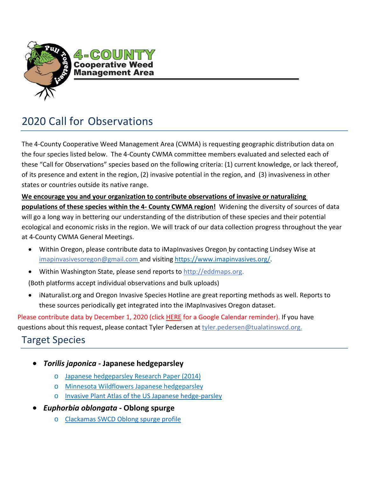

## 2020 Call for Observations

The 4-County Cooperative Weed Management Area (CWMA) is requesting geographic distribution data on the four species listed below. The 4-County CWMA committee members evaluated and selected each of these "Call for Observations" species based on the following criteria: (1) current knowledge, or lack thereof, of its presence and extent in the region, (2) invasive potential in the region, and (3) invasiveness in other states or countries outside its native range.

**We encourage you and your organization to contribute observations of invasive or naturalizing populations of these species within the 4- County CWMA region!** Widening the diversity of sources of data will go a long way in bettering our understanding of the distribution of these species and their potential ecological and economic risks in the region. We will track of our data collection progress throughout the year at 4-County CWMA General Meetings.

- Within Oregon, please contribute data to iMapInvasives Oregon by contacting Lindsey Wise at [imapinvasivesoregon@gmail.com a](mailto:imapinvasivesoregon@gmail.com)nd visiting [https://www.imapinvasives.org/.](https://www.imapinvasives.org/)
- Within Washington State, please send reports to http://edd[maps.org.](http://eddmaps.org/)

(Both platforms accept individual observations and bulk uploads)

• iNaturalist.org and Oregon Invasive Species Hotline are great reporting methods as well. Reports to these sources periodically get integrated into the iMapInvasives Oregon dataset.

Please contribute data by December 1, 2020 (click [HERE](https://calendar.google.com/calendar/r/eventedit?text=Deadline:+4-County+CWMA+Call+for+Data+Observations&date=20201201/20201201&details=For+details,+link+here:+https://4countycwma.org/mapping-data/new-weeds) for a Google Calendar reminder). If you have questions about this request, please contact Tyler Pedersen at [tyler.pedersen@tualatinswcd.org.](mailto:tyler.pedersen@tualatinswcd.org)

## Target Species

- *Torilis japonica* **- Japanese hedgeparsley**
	- o [Japanese hedgeparsley Research Paper \(2014\)](https://weedecology.css.cornell.edu/pubs/2014%20DiTommaso%20et%20al%20IPSM%20Torilis%20japonica%20invasion%20alert%207-4-553-560.pdf)
	- o [Minnesota Wildflowers Japanese hedgeparsley](https://www.minnesotawildflowers.info/flower/japanese-hedge-parsley)
	- o [Invasive Plant Atlas of the US Japanese hedge-parsley](https://www.invasiveplantatlas.org/subject.html?sub=12275)
- *Euphorbia oblongata* **- Oblong spurge**
	- o [Clackamas SWCD Oblong spurge profile](https://weedwise.conservationdistrict.org/euob4)